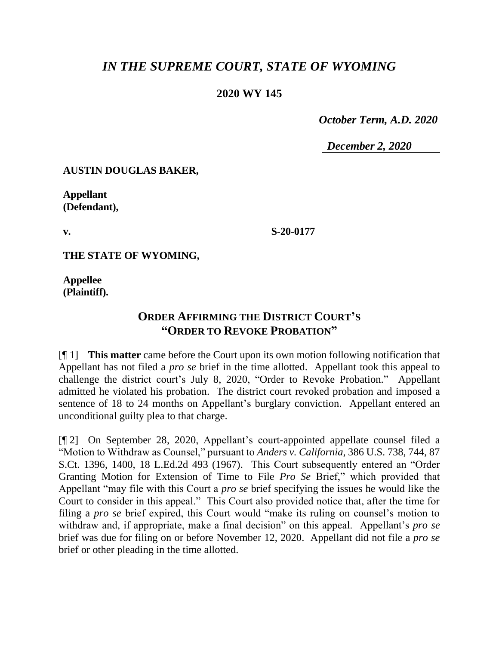# *IN THE SUPREME COURT, STATE OF WYOMING*

### **2020 WY 145**

 *October Term, A.D. 2020*

*December 2, 2020*

#### **AUSTIN DOUGLAS BAKER,**

**Appellant (Defendant),**

**v.**

**S-20-0177**

**THE STATE OF WYOMING,**

**Appellee (Plaintiff).**

# **ORDER AFFIRMING THE DISTRICT COURT'S "ORDER TO REVOKE PROBATION"**

[¶ 1] **This matter** came before the Court upon its own motion following notification that Appellant has not filed a *pro se* brief in the time allotted. Appellant took this appeal to challenge the district court's July 8, 2020, "Order to Revoke Probation." Appellant admitted he violated his probation. The district court revoked probation and imposed a sentence of 18 to 24 months on Appellant's burglary conviction. Appellant entered an unconditional guilty plea to that charge.

[¶ 2] On September 28, 2020, Appellant's court-appointed appellate counsel filed a "Motion to Withdraw as Counsel," pursuant to *Anders v. California*, 386 U.S. 738, 744, 87 S.Ct. 1396, 1400, 18 L.Ed.2d 493 (1967). This Court subsequently entered an "Order Granting Motion for Extension of Time to File *Pro Se* Brief," which provided that Appellant "may file with this Court a *pro se* brief specifying the issues he would like the Court to consider in this appeal." This Court also provided notice that, after the time for filing a *pro se* brief expired, this Court would "make its ruling on counsel's motion to withdraw and, if appropriate, make a final decision" on this appeal. Appellant's *pro se* brief was due for filing on or before November 12, 2020. Appellant did not file a *pro se* brief or other pleading in the time allotted.